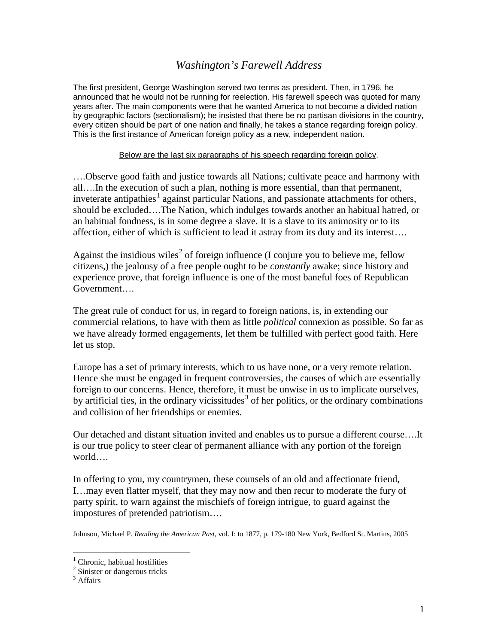## *Washington's Farewell Address*

The first president, George Washington served two terms as president. Then, in 1796, he announced that he would not be running for reelection. His farewell speech was quoted for many years after. The main components were that he wanted America to not become a divided nation by geographic factors (sectionalism); he insisted that there be no partisan divisions in the country, every citizen should be part of one nation and finally, he takes a stance regarding foreign policy. This is the first instance of American foreign policy as a new, independent nation.

## Below are the last six paragraphs of his speech regarding foreign policy.

….Observe good faith and justice towards all Nations; cultivate peace and harmony with all….In the execution of such a plan, nothing is more essential, than that permanent, inveterate antipathies<sup>[1](#page-0-0)</sup> against particular Nations, and passionate attachments for others, should be excluded….The Nation, which indulges towards another an habitual hatred, or an habitual fondness, is in some degree a slave. It is a slave to its animosity or to its affection, either of which is sufficient to lead it astray from its duty and its interest….

Against the insidious wiles<sup>[2](#page-0-1)</sup> of foreign influence (I conjure you to believe me, fellow citizens,) the jealousy of a free people ought to be *constantly* awake; since history and experience prove, that foreign influence is one of the most baneful foes of Republican Government….

The great rule of conduct for us, in regard to foreign nations, is, in extending our commercial relations, to have with them as little *political* connexion as possible. So far as we have already formed engagements, let them be fulfilled with perfect good faith. Here let us stop.

Europe has a set of primary interests, which to us have none, or a very remote relation. Hence she must be engaged in frequent controversies, the causes of which are essentially foreign to our concerns. Hence, therefore, it must be unwise in us to implicate ourselves, by artificial ties, in the ordinary vicissitudes<sup>[3](#page-0-2)</sup> of her politics, or the ordinary combinations and collision of her friendships or enemies.

Our detached and distant situation invited and enables us to pursue a different course….It is our true policy to steer clear of permanent alliance with any portion of the foreign world….

In offering to you, my countrymen, these counsels of an old and affectionate friend, I…may even flatter myself, that they may now and then recur to moderate the fury of party spirit, to warn against the mischiefs of foreign intrigue, to guard against the impostures of pretended patriotism….

Johnson, Michael P. *Reading the American Past*, vol. I: to 1877, p. 179-180 New York, Bedford St. Martins, 2005

 $<sup>1</sup>$  Chronic, habitual hostilities</sup>

<span id="page-0-1"></span><span id="page-0-0"></span><sup>&</sup>lt;sup>2</sup> Sinister or dangerous tricks

<span id="page-0-2"></span><sup>&</sup>lt;sup>3</sup> Affairs